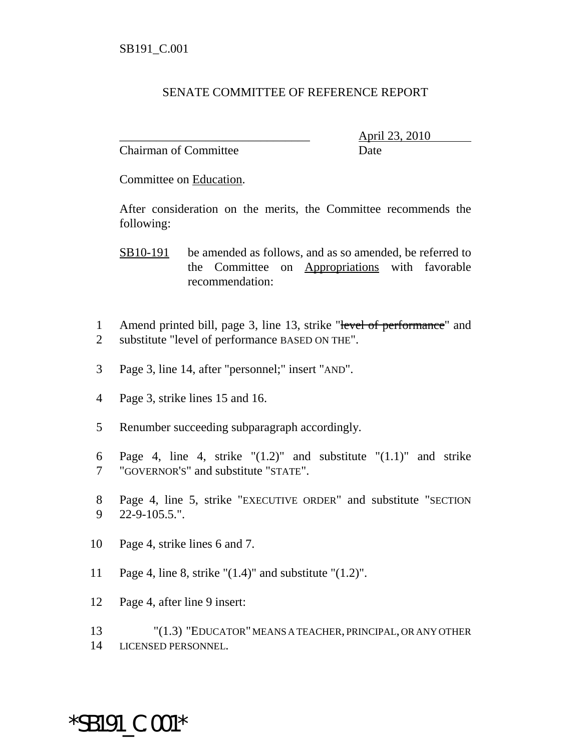#### SENATE COMMITTEE OF REFERENCE REPORT

Chairman of Committee Date

\_\_\_\_\_\_\_\_\_\_\_\_\_\_\_\_\_\_\_\_\_\_\_\_\_\_\_\_\_\_\_ April 23, 2010

Committee on Education.

After consideration on the merits, the Committee recommends the following:

SB10-191 be amended as follows, and as so amended, be referred to the Committee on Appropriations with favorable recommendation:

- 1 Amend printed bill, page 3, line 13, strike "level of performance" and 2 substitute "level of performance BASED ON THE".
- 3 Page 3, line 14, after "personnel;" insert "AND".
- 4 Page 3, strike lines 15 and 16.
- 5 Renumber succeeding subparagraph accordingly.
- 6 Page 4, line 4, strike  $(1.2)$ " and substitute  $(1.1)$ " and strike 7 "GOVERNOR'S" and substitute "STATE".
- 8 Page 4, line 5, strike "EXECUTIVE ORDER" and substitute "SECTION 9 22-9-105.5.".
- 10 Page 4, strike lines 6 and 7.
- 11 Page 4, line 8, strike "(1.4)" and substitute "(1.2)".
- 12 Page 4, after line 9 insert:

13 "(1.3) "EDUCATOR" MEANS A TEACHER, PRINCIPAL, OR ANY OTHER 14 LICENSED PERSONNEL.

### \*SB191\_C.001\*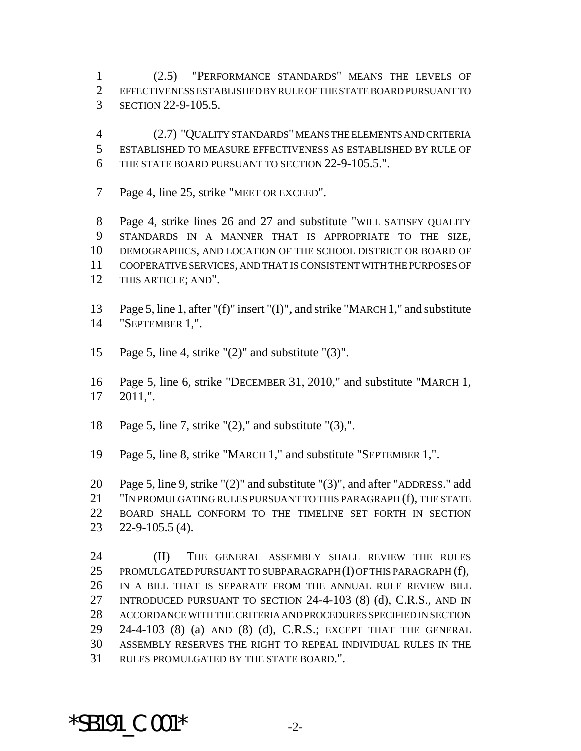(2.5) "PERFORMANCE STANDARDS" MEANS THE LEVELS OF EFFECTIVENESS ESTABLISHED BY RULE OF THE STATE BOARD PURSUANT TO SECTION 22-9-105.5.

 (2.7) "QUALITY STANDARDS" MEANS THE ELEMENTS AND CRITERIA ESTABLISHED TO MEASURE EFFECTIVENESS AS ESTABLISHED BY RULE OF THE STATE BOARD PURSUANT TO SECTION 22-9-105.5.".

7 Page 4, line 25, strike "MEET OR EXCEED".

 Page 4, strike lines 26 and 27 and substitute "WILL SATISFY QUALITY STANDARDS IN A MANNER THAT IS APPROPRIATE TO THE SIZE, DEMOGRAPHICS, AND LOCATION OF THE SCHOOL DISTRICT OR BOARD OF COOPERATIVE SERVICES, AND THAT IS CONSISTENT WITH THE PURPOSES OF THIS ARTICLE; AND".

 Page 5, line 1, after "(f)" insert "(I)", and strike "MARCH 1," and substitute "SEPTEMBER 1,".

Page 5, line 4, strike "(2)" and substitute "(3)".

 Page 5, line 6, strike "DECEMBER 31, 2010," and substitute "MARCH 1, 2011,".

Page 5, line 7, strike "(2)," and substitute "(3),".

Page 5, line 8, strike "MARCH 1," and substitute "SEPTEMBER 1,".

 Page 5, line 9, strike "(2)" and substitute "(3)", and after "ADDRESS." add "IN PROMULGATING RULES PURSUANT TO THIS PARAGRAPH (f), THE STATE BOARD SHALL CONFORM TO THE TIMELINE SET FORTH IN SECTION 22-9-105.5 (4).

 (II) THE GENERAL ASSEMBLY SHALL REVIEW THE RULES 25 PROMULGATED PURSUANT TO SUBPARAGRAPH (I) OF THIS PARAGRAPH (f), IN A BILL THAT IS SEPARATE FROM THE ANNUAL RULE REVIEW BILL INTRODUCED PURSUANT TO SECTION 24-4-103 (8) (d), C.R.S., AND IN ACCORDANCE WITH THE CRITERIA AND PROCEDURES SPECIFIED IN SECTION 24-4-103 (8) (a) AND (8) (d), C.R.S.; EXCEPT THAT THE GENERAL ASSEMBLY RESERVES THE RIGHT TO REPEAL INDIVIDUAL RULES IN THE RULES PROMULGATED BY THE STATE BOARD.".

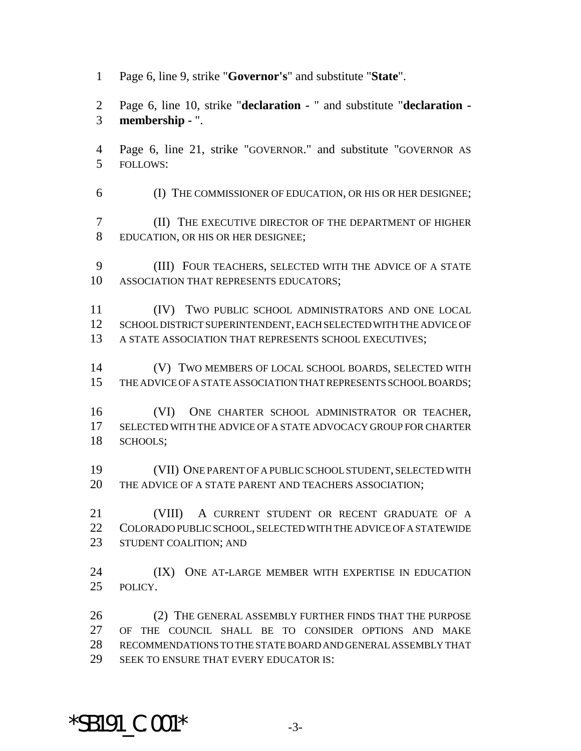Page 6, line 9, strike "**Governor's**" and substitute "**State**".

 Page 6, line 10, strike "**declaration -** " and substitute "**declaration - membership -** ".

- Page 6, line 21, strike "GOVERNOR." and substitute "GOVERNOR AS FOLLOWS:
- (I) THE COMMISSIONER OF EDUCATION, OR HIS OR HER DESIGNEE;

 (II) THE EXECUTIVE DIRECTOR OF THE DEPARTMENT OF HIGHER EDUCATION, OR HIS OR HER DESIGNEE;

 (III) FOUR TEACHERS, SELECTED WITH THE ADVICE OF A STATE ASSOCIATION THAT REPRESENTS EDUCATORS;

 (IV) TWO PUBLIC SCHOOL ADMINISTRATORS AND ONE LOCAL SCHOOL DISTRICT SUPERINTENDENT, EACH SELECTED WITH THE ADVICE OF A STATE ASSOCIATION THAT REPRESENTS SCHOOL EXECUTIVES;

 (V) TWO MEMBERS OF LOCAL SCHOOL BOARDS, SELECTED WITH THE ADVICE OF A STATE ASSOCIATION THAT REPRESENTS SCHOOL BOARDS;

 (VI) ONE CHARTER SCHOOL ADMINISTRATOR OR TEACHER, SELECTED WITH THE ADVICE OF A STATE ADVOCACY GROUP FOR CHARTER SCHOOLS;

 (VII) ONE PARENT OF A PUBLIC SCHOOL STUDENT, SELECTED WITH THE ADVICE OF A STATE PARENT AND TEACHERS ASSOCIATION;

 (VIII) A CURRENT STUDENT OR RECENT GRADUATE OF A COLORADO PUBLIC SCHOOL, SELECTED WITH THE ADVICE OF A STATEWIDE 23 STUDENT COALITION; AND

24 (IX) ONE AT-LARGE MEMBER WITH EXPERTISE IN EDUCATION POLICY.

 (2) THE GENERAL ASSEMBLY FURTHER FINDS THAT THE PURPOSE OF THE COUNCIL SHALL BE TO CONSIDER OPTIONS AND MAKE RECOMMENDATIONS TO THE STATE BOARD AND GENERAL ASSEMBLY THAT 29 SEEK TO ENSURE THAT EVERY EDUCATOR IS:

# \*SB191  $C.001*$  -3-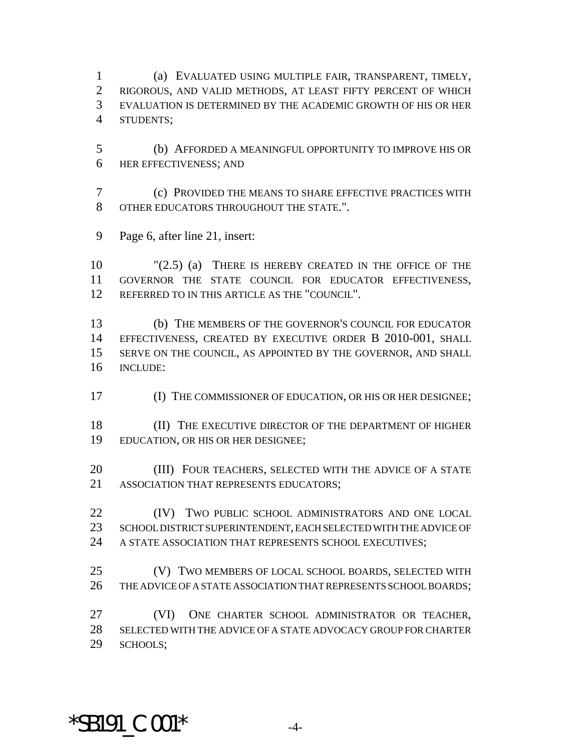(a) EVALUATED USING MULTIPLE FAIR, TRANSPARENT, TIMELY, RIGOROUS, AND VALID METHODS, AT LEAST FIFTY PERCENT OF WHICH EVALUATION IS DETERMINED BY THE ACADEMIC GROWTH OF HIS OR HER STUDENTS;

- (b) AFFORDED A MEANINGFUL OPPORTUNITY TO IMPROVE HIS OR HER EFFECTIVENESS; AND
- (c) PROVIDED THE MEANS TO SHARE EFFECTIVE PRACTICES WITH OTHER EDUCATORS THROUGHOUT THE STATE.".
- Page 6, after line 21, insert:

 "(2.5) (a) THERE IS HEREBY CREATED IN THE OFFICE OF THE GOVERNOR THE STATE COUNCIL FOR EDUCATOR EFFECTIVENESS, REFERRED TO IN THIS ARTICLE AS THE "COUNCIL".

 (b) THE MEMBERS OF THE GOVERNOR'S COUNCIL FOR EDUCATOR EFFECTIVENESS, CREATED BY EXECUTIVE ORDER B 2010-001, SHALL SERVE ON THE COUNCIL, AS APPOINTED BY THE GOVERNOR, AND SHALL INCLUDE:

(I) THE COMMISSIONER OF EDUCATION, OR HIS OR HER DESIGNEE;

18 (II) THE EXECUTIVE DIRECTOR OF THE DEPARTMENT OF HIGHER EDUCATION, OR HIS OR HER DESIGNEE;

- 20 (III) FOUR TEACHERS, SELECTED WITH THE ADVICE OF A STATE ASSOCIATION THAT REPRESENTS EDUCATORS;
- **(IV)** TWO PUBLIC SCHOOL ADMINISTRATORS AND ONE LOCAL SCHOOL DISTRICT SUPERINTENDENT, EACH SELECTED WITH THE ADVICE OF A STATE ASSOCIATION THAT REPRESENTS SCHOOL EXECUTIVES;
- (V) TWO MEMBERS OF LOCAL SCHOOL BOARDS, SELECTED WITH THE ADVICE OF A STATE ASSOCIATION THAT REPRESENTS SCHOOL BOARDS;

 (VI) ONE CHARTER SCHOOL ADMINISTRATOR OR TEACHER, SELECTED WITH THE ADVICE OF A STATE ADVOCACY GROUP FOR CHARTER SCHOOLS;

## $*$ SB191 C.001 $*$  -4-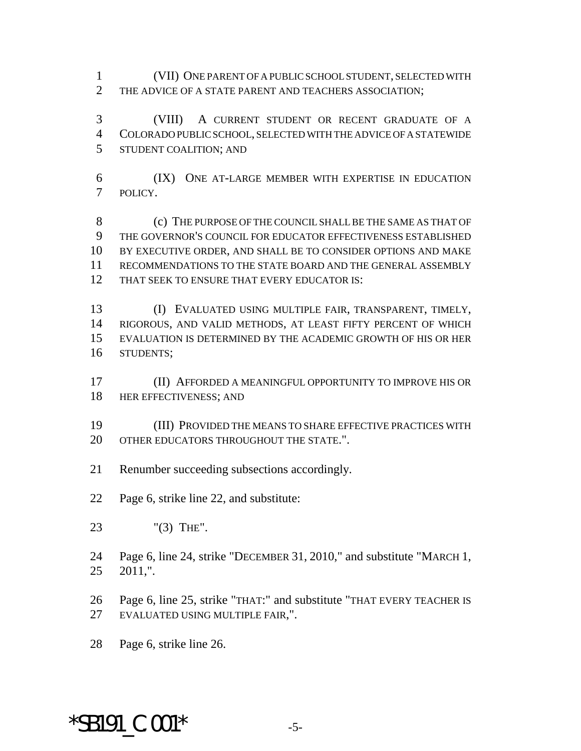(VII) ONE PARENT OF A PUBLIC SCHOOL STUDENT, SELECTED WITH THE ADVICE OF A STATE PARENT AND TEACHERS ASSOCIATION;

 (VIII) A CURRENT STUDENT OR RECENT GRADUATE OF A COLORADO PUBLIC SCHOOL, SELECTED WITH THE ADVICE OF A STATEWIDE STUDENT COALITION; AND

 (IX) ONE AT-LARGE MEMBER WITH EXPERTISE IN EDUCATION POLICY.

 (c) THE PURPOSE OF THE COUNCIL SHALL BE THE SAME AS THAT OF THE GOVERNOR'S COUNCIL FOR EDUCATOR EFFECTIVENESS ESTABLISHED BY EXECUTIVE ORDER, AND SHALL BE TO CONSIDER OPTIONS AND MAKE RECOMMENDATIONS TO THE STATE BOARD AND THE GENERAL ASSEMBLY 12 THAT SEEK TO ENSURE THAT EVERY EDUCATOR IS:

 (I) EVALUATED USING MULTIPLE FAIR, TRANSPARENT, TIMELY, RIGOROUS, AND VALID METHODS, AT LEAST FIFTY PERCENT OF WHICH EVALUATION IS DETERMINED BY THE ACADEMIC GROWTH OF HIS OR HER STUDENTS;

 (II) AFFORDED A MEANINGFUL OPPORTUNITY TO IMPROVE HIS OR 18 HER EFFECTIVENESS; AND

 (III) PROVIDED THE MEANS TO SHARE EFFECTIVE PRACTICES WITH 20 OTHER EDUCATORS THROUGHOUT THE STATE."

Renumber succeeding subsections accordingly.

Page 6, strike line 22, and substitute:

"(3) THE".

 Page 6, line 24, strike "DECEMBER 31, 2010," and substitute "MARCH 1, 2011,".

 Page 6, line 25, strike "THAT:" and substitute "THAT EVERY TEACHER IS EVALUATED USING MULTIPLE FAIR,".

Page 6, strike line 26.

# $*$ SB191 C.001 $*$  -5-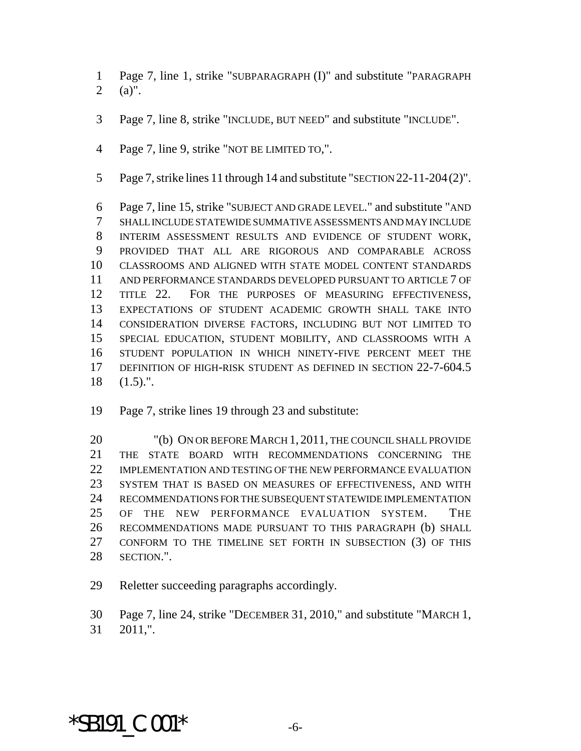Page 7, line 1, strike "SUBPARAGRAPH (I)" and substitute "PARAGRAPH (a)".

- Page 7, line 8, strike "INCLUDE, BUT NEED" and substitute "INCLUDE".
- Page 7, line 9, strike "NOT BE LIMITED TO,".
- Page 7, strike lines 11 through 14 and substitute "SECTION 22-11-204(2)".

 Page 7, line 15, strike "SUBJECT AND GRADE LEVEL." and substitute "AND SHALL INCLUDE STATEWIDE SUMMATIVE ASSESSMENTS AND MAY INCLUDE INTERIM ASSESSMENT RESULTS AND EVIDENCE OF STUDENT WORK, PROVIDED THAT ALL ARE RIGOROUS AND COMPARABLE ACROSS CLASSROOMS AND ALIGNED WITH STATE MODEL CONTENT STANDARDS AND PERFORMANCE STANDARDS DEVELOPED PURSUANT TO ARTICLE 7 OF 12 TITLE 22. FOR THE PURPOSES OF MEASURING EFFECTIVENESS, EXPECTATIONS OF STUDENT ACADEMIC GROWTH SHALL TAKE INTO CONSIDERATION DIVERSE FACTORS, INCLUDING BUT NOT LIMITED TO SPECIAL EDUCATION, STUDENT MOBILITY, AND CLASSROOMS WITH A STUDENT POPULATION IN WHICH NINETY-FIVE PERCENT MEET THE DEFINITION OF HIGH-RISK STUDENT AS DEFINED IN SECTION 22-7-604.5 (1.5).".

Page 7, strike lines 19 through 23 and substitute:

 "(b) ON OR BEFORE MARCH 1, 2011, THE COUNCIL SHALL PROVIDE THE STATE BOARD WITH RECOMMENDATIONS CONCERNING THE IMPLEMENTATION AND TESTING OF THE NEW PERFORMANCE EVALUATION SYSTEM THAT IS BASED ON MEASURES OF EFFECTIVENESS, AND WITH RECOMMENDATIONS FOR THE SUBSEQUENT STATEWIDE IMPLEMENTATION OF THE NEW PERFORMANCE EVALUATION SYSTEM. THE RECOMMENDATIONS MADE PURSUANT TO THIS PARAGRAPH (b) SHALL CONFORM TO THE TIMELINE SET FORTH IN SUBSECTION (3) OF THIS SECTION.".

Reletter succeeding paragraphs accordingly.

 Page 7, line 24, strike "DECEMBER 31, 2010," and substitute "MARCH 1, 2011,".

#### $*$ SB191  $C.001*$  -6-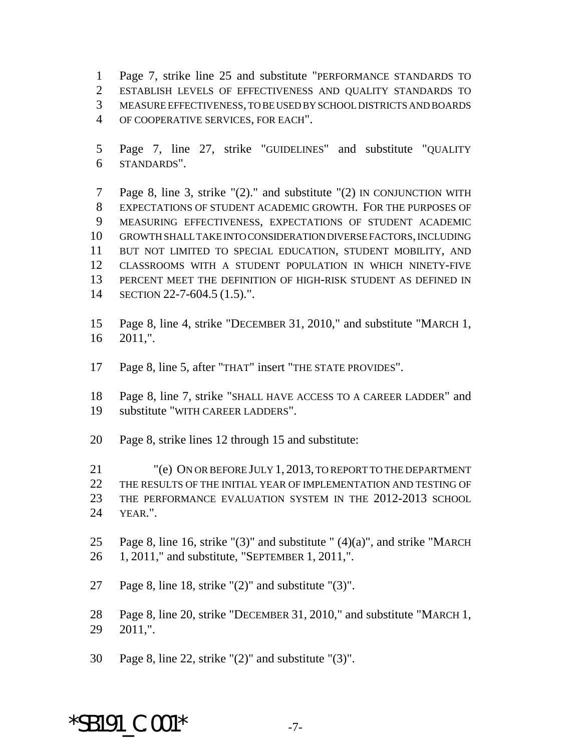Page 7, strike line 25 and substitute "PERFORMANCE STANDARDS TO ESTABLISH LEVELS OF EFFECTIVENESS AND QUALITY STANDARDS TO MEASURE EFFECTIVENESS, TO BE USED BY SCHOOL DISTRICTS AND BOARDS OF COOPERATIVE SERVICES, FOR EACH".

 Page 7, line 27, strike "GUIDELINES" and substitute "QUALITY STANDARDS".

 Page 8, line 3, strike "(2)." and substitute "(2) IN CONJUNCTION WITH EXPECTATIONS OF STUDENT ACADEMIC GROWTH. FOR THE PURPOSES OF MEASURING EFFECTIVENESS, EXPECTATIONS OF STUDENT ACADEMIC GROWTH SHALL TAKE INTO CONSIDERATION DIVERSE FACTORS, INCLUDING BUT NOT LIMITED TO SPECIAL EDUCATION, STUDENT MOBILITY, AND CLASSROOMS WITH A STUDENT POPULATION IN WHICH NINETY-FIVE PERCENT MEET THE DEFINITION OF HIGH-RISK STUDENT AS DEFINED IN SECTION 22-7-604.5 (1.5).".

 Page 8, line 4, strike "DECEMBER 31, 2010," and substitute "MARCH 1, 2011,".

Page 8, line 5, after "THAT" insert "THE STATE PROVIDES".

 Page 8, line 7, strike "SHALL HAVE ACCESS TO A CAREER LADDER" and substitute "WITH CAREER LADDERS".

Page 8, strike lines 12 through 15 and substitute:

 "(e) ON OR BEFORE JULY 1, 2013, TO REPORT TO THE DEPARTMENT THE RESULTS OF THE INITIAL YEAR OF IMPLEMENTATION AND TESTING OF THE PERFORMANCE EVALUATION SYSTEM IN THE 2012-2013 SCHOOL YEAR.".

25 Page 8, line 16, strike " $(3)$ " and substitute " $(4)(a)$ ", and strike "MARCH 1, 2011," and substitute, "SEPTEMBER 1, 2011,".

Page 8, line 18, strike "(2)" and substitute "(3)".

 Page 8, line 20, strike "DECEMBER 31, 2010," and substitute "MARCH 1, 2011,".

Page 8, line 22, strike "(2)" and substitute "(3)".

#### $*$ SB191  $C.001*$  -7-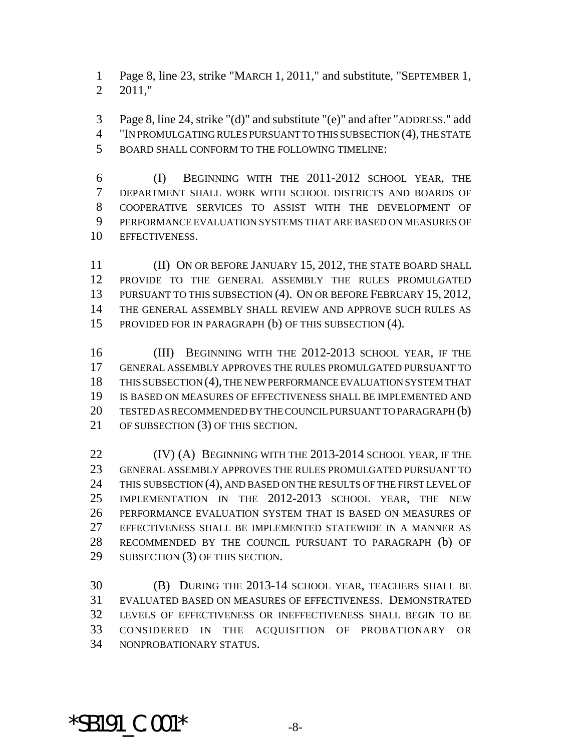Page 8, line 23, strike "MARCH 1, 2011," and substitute, "SEPTEMBER 1, 2011,"

 Page 8, line 24, strike "(d)" and substitute "(e)" and after "ADDRESS." add "IN PROMULGATING RULES PURSUANT TO THIS SUBSECTION (4), THE STATE BOARD SHALL CONFORM TO THE FOLLOWING TIMELINE:

 (I) BEGINNING WITH THE 2011-2012 SCHOOL YEAR, THE DEPARTMENT SHALL WORK WITH SCHOOL DISTRICTS AND BOARDS OF COOPERATIVE SERVICES TO ASSIST WITH THE DEVELOPMENT OF PERFORMANCE EVALUATION SYSTEMS THAT ARE BASED ON MEASURES OF EFFECTIVENESS.

11 (II) ON OR BEFORE JANUARY 15, 2012, THE STATE BOARD SHALL PROVIDE TO THE GENERAL ASSEMBLY THE RULES PROMULGATED 13 PURSUANT TO THIS SUBSECTION (4). ON OR BEFORE FEBRUARY 15, 2012, THE GENERAL ASSEMBLY SHALL REVIEW AND APPROVE SUCH RULES AS PROVIDED FOR IN PARAGRAPH (b) OF THIS SUBSECTION (4).

16 (III) BEGINNING WITH THE 2012-2013 SCHOOL YEAR, IF THE GENERAL ASSEMBLY APPROVES THE RULES PROMULGATED PURSUANT TO THIS SUBSECTION (4), THE NEW PERFORMANCE EVALUATION SYSTEM THAT IS BASED ON MEASURES OF EFFECTIVENESS SHALL BE IMPLEMENTED AND TESTED AS RECOMMENDED BY THE COUNCIL PURSUANT TO PARAGRAPH (b) 21 OF SUBSECTION (3) OF THIS SECTION.

**(IV) (A) BEGINNING WITH THE 2013-2014 SCHOOL YEAR, IF THE**  GENERAL ASSEMBLY APPROVES THE RULES PROMULGATED PURSUANT TO 24 THIS SUBSECTION (4), AND BASED ON THE RESULTS OF THE FIRST LEVEL OF IMPLEMENTATION IN THE 2012-2013 SCHOOL YEAR, THE NEW PERFORMANCE EVALUATION SYSTEM THAT IS BASED ON MEASURES OF EFFECTIVENESS SHALL BE IMPLEMENTED STATEWIDE IN A MANNER AS RECOMMENDED BY THE COUNCIL PURSUANT TO PARAGRAPH (b) OF SUBSECTION (3) OF THIS SECTION.

 (B) DURING THE 2013-14 SCHOOL YEAR, TEACHERS SHALL BE EVALUATED BASED ON MEASURES OF EFFECTIVENESS. DEMONSTRATED LEVELS OF EFFECTIVENESS OR INEFFECTIVENESS SHALL BEGIN TO BE CONSIDERED IN THE ACQUISITION OF PROBATIONARY OR NONPROBATIONARY STATUS.

 $*$ SB191  $C.001*$   $-8-$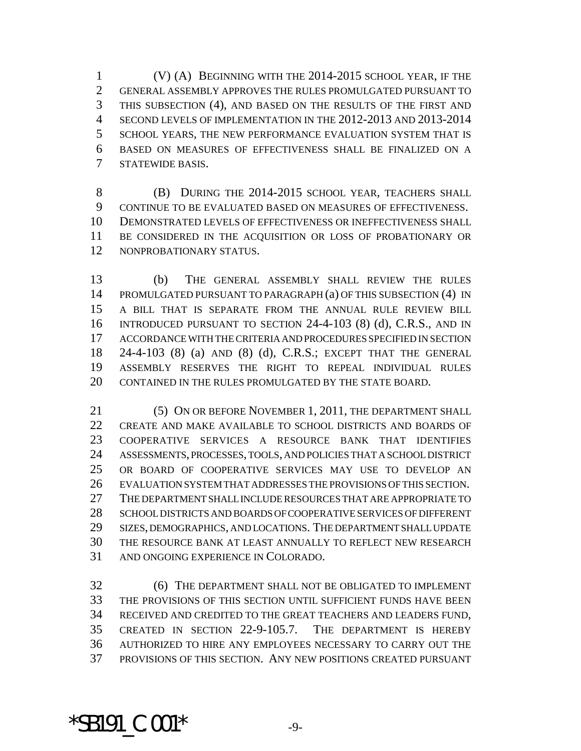(V) (A) BEGINNING WITH THE 2014-2015 SCHOOL YEAR, IF THE GENERAL ASSEMBLY APPROVES THE RULES PROMULGATED PURSUANT TO THIS SUBSECTION (4), AND BASED ON THE RESULTS OF THE FIRST AND SECOND LEVELS OF IMPLEMENTATION IN THE 2012-2013 AND 2013-2014 SCHOOL YEARS, THE NEW PERFORMANCE EVALUATION SYSTEM THAT IS BASED ON MEASURES OF EFFECTIVENESS SHALL BE FINALIZED ON A STATEWIDE BASIS.

**(B)** DURING THE 2014-2015 SCHOOL YEAR, TEACHERS SHALL CONTINUE TO BE EVALUATED BASED ON MEASURES OF EFFECTIVENESS. DEMONSTRATED LEVELS OF EFFECTIVENESS OR INEFFECTIVENESS SHALL BE CONSIDERED IN THE ACQUISITION OR LOSS OF PROBATIONARY OR NONPROBATIONARY STATUS.

 (b) THE GENERAL ASSEMBLY SHALL REVIEW THE RULES PROMULGATED PURSUANT TO PARAGRAPH (a) OF THIS SUBSECTION (4) IN A BILL THAT IS SEPARATE FROM THE ANNUAL RULE REVIEW BILL INTRODUCED PURSUANT TO SECTION 24-4-103 (8) (d), C.R.S., AND IN ACCORDANCE WITH THE CRITERIA AND PROCEDURES SPECIFIED IN SECTION 24-4-103 (8) (a) AND (8) (d), C.R.S.; EXCEPT THAT THE GENERAL ASSEMBLY RESERVES THE RIGHT TO REPEAL INDIVIDUAL RULES 20 CONTAINED IN THE RULES PROMULGATED BY THE STATE BOARD.

21 (5) ON OR BEFORE NOVEMBER 1, 2011, THE DEPARTMENT SHALL CREATE AND MAKE AVAILABLE TO SCHOOL DISTRICTS AND BOARDS OF COOPERATIVE SERVICES A RESOURCE BANK THAT IDENTIFIES ASSESSMENTS, PROCESSES, TOOLS, AND POLICIES THAT A SCHOOL DISTRICT OR BOARD OF COOPERATIVE SERVICES MAY USE TO DEVELOP AN EVALUATION SYSTEM THAT ADDRESSES THE PROVISIONS OF THIS SECTION. THE DEPARTMENT SHALL INCLUDE RESOURCES THAT ARE APPROPRIATE TO SCHOOL DISTRICTS AND BOARDS OF COOPERATIVE SERVICES OF DIFFERENT SIZES, DEMOGRAPHICS, AND LOCATIONS. THE DEPARTMENT SHALL UPDATE THE RESOURCE BANK AT LEAST ANNUALLY TO REFLECT NEW RESEARCH AND ONGOING EXPERIENCE IN COLORADO.

 (6) THE DEPARTMENT SHALL NOT BE OBLIGATED TO IMPLEMENT THE PROVISIONS OF THIS SECTION UNTIL SUFFICIENT FUNDS HAVE BEEN RECEIVED AND CREDITED TO THE GREAT TEACHERS AND LEADERS FUND, CREATED IN SECTION 22-9-105.7. THE DEPARTMENT IS HEREBY AUTHORIZED TO HIRE ANY EMPLOYEES NECESSARY TO CARRY OUT THE PROVISIONS OF THIS SECTION. ANY NEW POSITIONS CREATED PURSUANT

#### $*$ SB191  $C.001*$  -9-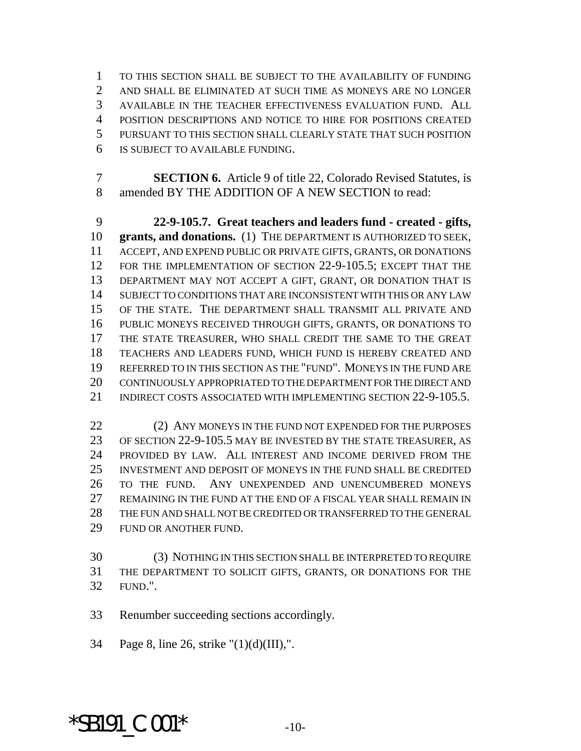TO THIS SECTION SHALL BE SUBJECT TO THE AVAILABILITY OF FUNDING AND SHALL BE ELIMINATED AT SUCH TIME AS MONEYS ARE NO LONGER AVAILABLE IN THE TEACHER EFFECTIVENESS EVALUATION FUND. ALL POSITION DESCRIPTIONS AND NOTICE TO HIRE FOR POSITIONS CREATED PURSUANT TO THIS SECTION SHALL CLEARLY STATE THAT SUCH POSITION IS SUBJECT TO AVAILABLE FUNDING.

 **SECTION 6.** Article 9 of title 22, Colorado Revised Statutes, is amended BY THE ADDITION OF A NEW SECTION to read:

 **22-9-105.7. Great teachers and leaders fund - created - gifts, grants, and donations.** (1) THE DEPARTMENT IS AUTHORIZED TO SEEK, ACCEPT, AND EXPEND PUBLIC OR PRIVATE GIFTS, GRANTS, OR DONATIONS FOR THE IMPLEMENTATION OF SECTION 22-9-105.5; EXCEPT THAT THE DEPARTMENT MAY NOT ACCEPT A GIFT, GRANT, OR DONATION THAT IS SUBJECT TO CONDITIONS THAT ARE INCONSISTENT WITH THIS OR ANY LAW OF THE STATE. THE DEPARTMENT SHALL TRANSMIT ALL PRIVATE AND PUBLIC MONEYS RECEIVED THROUGH GIFTS, GRANTS, OR DONATIONS TO THE STATE TREASURER, WHO SHALL CREDIT THE SAME TO THE GREAT TEACHERS AND LEADERS FUND, WHICH FUND IS HEREBY CREATED AND REFERRED TO IN THIS SECTION AS THE "FUND". MONEYS IN THE FUND ARE CONTINUOUSLY APPROPRIATED TO THE DEPARTMENT FOR THE DIRECT AND 21 INDIRECT COSTS ASSOCIATED WITH IMPLEMENTING SECTION 22-9-105.5.

22 (2) ANY MONEYS IN THE FUND NOT EXPENDED FOR THE PURPOSES OF SECTION 22-9-105.5 MAY BE INVESTED BY THE STATE TREASURER, AS PROVIDED BY LAW. ALL INTEREST AND INCOME DERIVED FROM THE INVESTMENT AND DEPOSIT OF MONEYS IN THE FUND SHALL BE CREDITED TO THE FUND. ANY UNEXPENDED AND UNENCUMBERED MONEYS REMAINING IN THE FUND AT THE END OF A FISCAL YEAR SHALL REMAIN IN THE FUN AND SHALL NOT BE CREDITED OR TRANSFERRED TO THE GENERAL FUND OR ANOTHER FUND.

 (3) NOTHING IN THIS SECTION SHALL BE INTERPRETED TO REQUIRE THE DEPARTMENT TO SOLICIT GIFTS, GRANTS, OR DONATIONS FOR THE FUND.".

Renumber succeeding sections accordingly.

Page 8, line 26, strike "(1)(d)(III),".

## $*$ SB191  $C.001*$   $10-$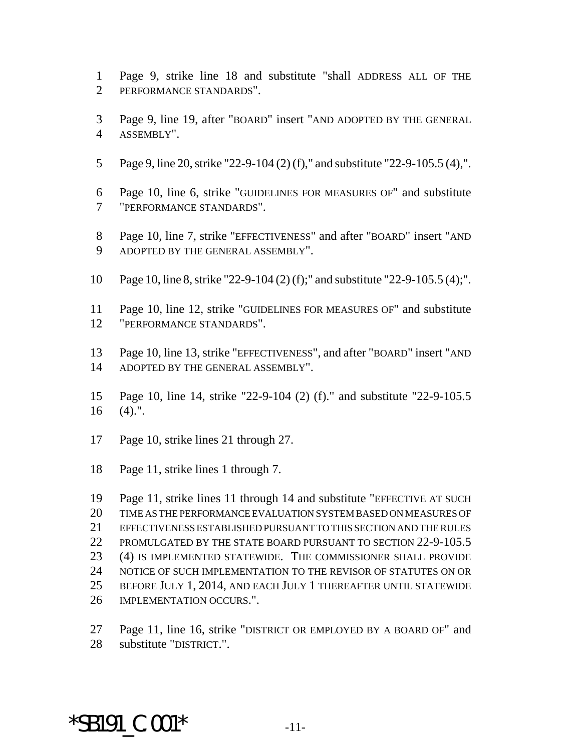- Page 9, strike line 18 and substitute "shall ADDRESS ALL OF THE PERFORMANCE STANDARDS".
- Page 9, line 19, after "BOARD" insert "AND ADOPTED BY THE GENERAL ASSEMBLY".
- Page 9, line 20, strike "22-9-104 (2) (f)," and substitute "22-9-105.5 (4),".
- Page 10, line 6, strike "GUIDELINES FOR MEASURES OF" and substitute "PERFORMANCE STANDARDS".
- Page 10, line 7, strike "EFFECTIVENESS" and after "BOARD" insert "AND ADOPTED BY THE GENERAL ASSEMBLY".
- Page 10, line 8, strike "22-9-104 (2) (f);" and substitute "22-9-105.5 (4);".
- Page 10, line 12, strike "GUIDELINES FOR MEASURES OF" and substitute "PERFORMANCE STANDARDS".
- Page 10, line 13, strike "EFFECTIVENESS", and after "BOARD" insert "AND 14 ADOPTED BY THE GENERAL ASSEMBLY".
- Page 10, line 14, strike "22-9-104 (2) (f)." and substitute "22-9-105.5 (4).".
- Page 10, strike lines 21 through 27.
- Page 11, strike lines 1 through 7.

 Page 11, strike lines 11 through 14 and substitute "EFFECTIVE AT SUCH TIME AS THE PERFORMANCE EVALUATION SYSTEM BASED ON MEASURES OF EFFECTIVENESS ESTABLISHED PURSUANT TO THIS SECTION AND THE RULES 22 PROMULGATED BY THE STATE BOARD PURSUANT TO SECTION 22-9-105.5 (4) IS IMPLEMENTED STATEWIDE. THE COMMISSIONER SHALL PROVIDE NOTICE OF SUCH IMPLEMENTATION TO THE REVISOR OF STATUTES ON OR BEFORE JULY 1, 2014, AND EACH JULY 1 THEREAFTER UNTIL STATEWIDE IMPLEMENTATION OCCURS.".

Page 11, line 16, strike "DISTRICT OR EMPLOYED BY A BOARD OF" and

substitute "DISTRICT.".

\*SB191  $C.001*$   $-11-$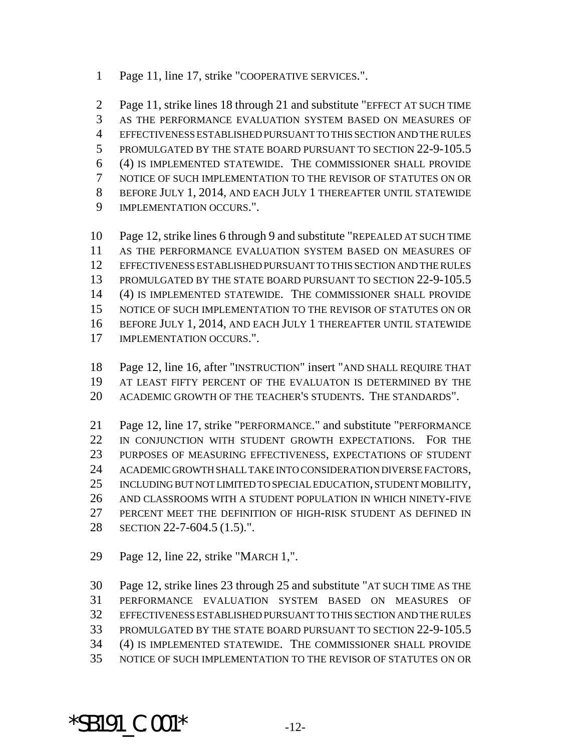Page 11, line 17, strike "COOPERATIVE SERVICES.".

 Page 11, strike lines 18 through 21 and substitute "EFFECT AT SUCH TIME AS THE PERFORMANCE EVALUATION SYSTEM BASED ON MEASURES OF EFFECTIVENESS ESTABLISHED PURSUANT TO THIS SECTION AND THE RULES 5 PROMULGATED BY THE STATE BOARD PURSUANT TO SECTION 22-9-105.5 (4) IS IMPLEMENTED STATEWIDE. THE COMMISSIONER SHALL PROVIDE NOTICE OF SUCH IMPLEMENTATION TO THE REVISOR OF STATUTES ON OR BEFORE JULY 1, 2014, AND EACH JULY 1 THEREAFTER UNTIL STATEWIDE IMPLEMENTATION OCCURS.".

 Page 12, strike lines 6 through 9 and substitute "REPEALED AT SUCH TIME AS THE PERFORMANCE EVALUATION SYSTEM BASED ON MEASURES OF EFFECTIVENESS ESTABLISHED PURSUANT TO THIS SECTION AND THE RULES 13 PROMULGATED BY THE STATE BOARD PURSUANT TO SECTION 22-9-105.5 (4) IS IMPLEMENTED STATEWIDE. THE COMMISSIONER SHALL PROVIDE NOTICE OF SUCH IMPLEMENTATION TO THE REVISOR OF STATUTES ON OR BEFORE JULY 1, 2014, AND EACH JULY 1 THEREAFTER UNTIL STATEWIDE IMPLEMENTATION OCCURS.".

- Page 12, line 16, after "INSTRUCTION" insert "AND SHALL REQUIRE THAT 19 AT LEAST FIFTY PERCENT OF THE EVALUATON IS DETERMINED BY THE
- ACADEMIC GROWTH OF THE TEACHER'S STUDENTS. THE STANDARDS".

 Page 12, line 17, strike "PERFORMANCE." and substitute "PERFORMANCE 22 IN CONJUNCTION WITH STUDENT GROWTH EXPECTATIONS. FOR THE PURPOSES OF MEASURING EFFECTIVENESS, EXPECTATIONS OF STUDENT ACADEMIC GROWTH SHALL TAKE INTO CONSIDERATION DIVERSE FACTORS, INCLUDING BUT NOT LIMITED TO SPECIAL EDUCATION, STUDENT MOBILITY, AND CLASSROOMS WITH A STUDENT POPULATION IN WHICH NINETY-FIVE PERCENT MEET THE DEFINITION OF HIGH-RISK STUDENT AS DEFINED IN SECTION 22-7-604.5 (1.5).".

Page 12, line 22, strike "MARCH 1,".

 Page 12, strike lines 23 through 25 and substitute "AT SUCH TIME AS THE PERFORMANCE EVALUATION SYSTEM BASED ON MEASURES OF EFFECTIVENESS ESTABLISHED PURSUANT TO THIS SECTION AND THE RULES PROMULGATED BY THE STATE BOARD PURSUANT TO SECTION 22-9-105.5 (4) IS IMPLEMENTED STATEWIDE. THE COMMISSIONER SHALL PROVIDE NOTICE OF SUCH IMPLEMENTATION TO THE REVISOR OF STATUTES ON OR

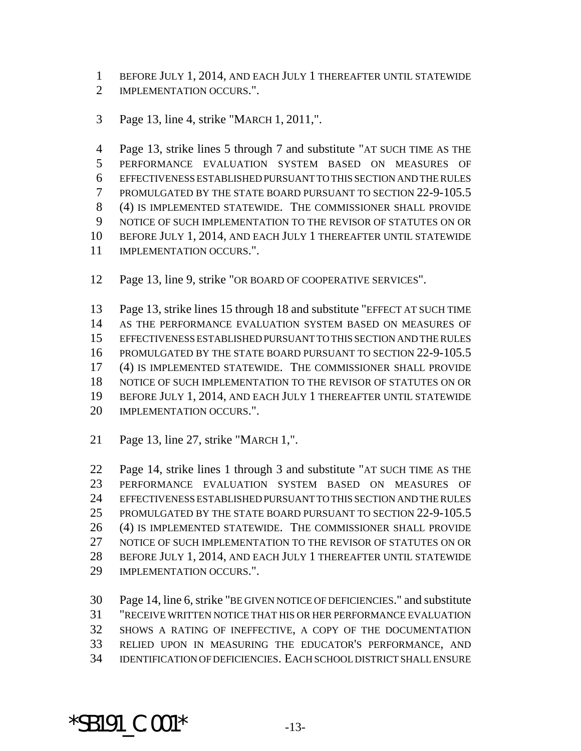BEFORE JULY 1, 2014, AND EACH JULY 1 THEREAFTER UNTIL STATEWIDE

- 2 IMPLEMENTATION OCCURS.".
- Page 13, line 4, strike "MARCH 1, 2011,".

 Page 13, strike lines 5 through 7 and substitute "AT SUCH TIME AS THE PERFORMANCE EVALUATION SYSTEM BASED ON MEASURES OF EFFECTIVENESS ESTABLISHED PURSUANT TO THIS SECTION AND THE RULES PROMULGATED BY THE STATE BOARD PURSUANT TO SECTION 22-9-105.5 (4) IS IMPLEMENTED STATEWIDE. THE COMMISSIONER SHALL PROVIDE NOTICE OF SUCH IMPLEMENTATION TO THE REVISOR OF STATUTES ON OR BEFORE JULY 1, 2014, AND EACH JULY 1 THEREAFTER UNTIL STATEWIDE IMPLEMENTATION OCCURS.".

Page 13, line 9, strike "OR BOARD OF COOPERATIVE SERVICES".

 Page 13, strike lines 15 through 18 and substitute "EFFECT AT SUCH TIME AS THE PERFORMANCE EVALUATION SYSTEM BASED ON MEASURES OF EFFECTIVENESS ESTABLISHED PURSUANT TO THIS SECTION AND THE RULES PROMULGATED BY THE STATE BOARD PURSUANT TO SECTION 22-9-105.5 (4) IS IMPLEMENTED STATEWIDE. THE COMMISSIONER SHALL PROVIDE NOTICE OF SUCH IMPLEMENTATION TO THE REVISOR OF STATUTES ON OR BEFORE JULY 1, 2014, AND EACH JULY 1 THEREAFTER UNTIL STATEWIDE 20 IMPLEMENTATION OCCURS."

Page 13, line 27, strike "MARCH 1,".

 Page 14, strike lines 1 through 3 and substitute "AT SUCH TIME AS THE PERFORMANCE EVALUATION SYSTEM BASED ON MEASURES OF EFFECTIVENESS ESTABLISHED PURSUANT TO THIS SECTION AND THE RULES 25 PROMULGATED BY THE STATE BOARD PURSUANT TO SECTION 22-9-105.5 (4) IS IMPLEMENTED STATEWIDE. THE COMMISSIONER SHALL PROVIDE NOTICE OF SUCH IMPLEMENTATION TO THE REVISOR OF STATUTES ON OR BEFORE JULY 1, 2014, AND EACH JULY 1 THEREAFTER UNTIL STATEWIDE IMPLEMENTATION OCCURS.".

 Page 14, line 6, strike "BE GIVEN NOTICE OF DEFICIENCIES." and substitute "RECEIVE WRITTEN NOTICE THAT HIS OR HER PERFORMANCE EVALUATION SHOWS A RATING OF INEFFECTIVE, A COPY OF THE DOCUMENTATION RELIED UPON IN MEASURING THE EDUCATOR'S PERFORMANCE, AND IDENTIFICATION OF DEFICIENCIES. EACH SCHOOL DISTRICT SHALL ENSURE

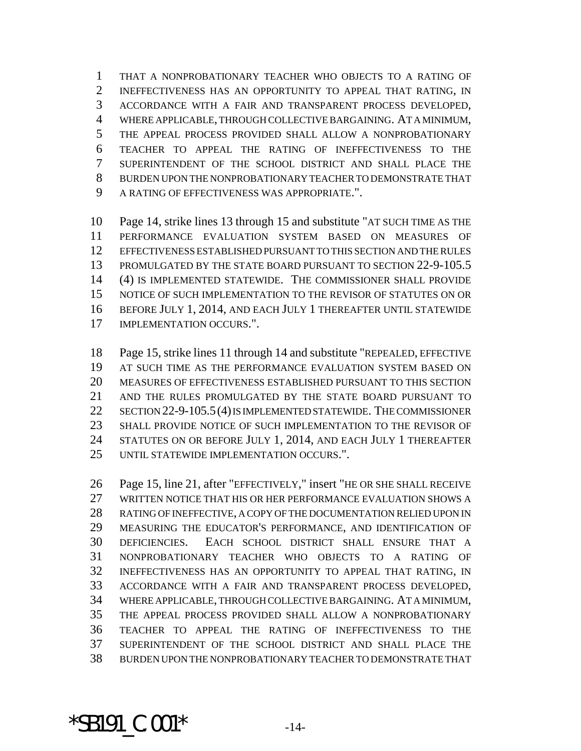THAT A NONPROBATIONARY TEACHER WHO OBJECTS TO A RATING OF INEFFECTIVENESS HAS AN OPPORTUNITY TO APPEAL THAT RATING, IN ACCORDANCE WITH A FAIR AND TRANSPARENT PROCESS DEVELOPED, WHERE APPLICABLE, THROUGH COLLECTIVE BARGAINING. AT A MINIMUM, THE APPEAL PROCESS PROVIDED SHALL ALLOW A NONPROBATIONARY TEACHER TO APPEAL THE RATING OF INEFFECTIVENESS TO THE SUPERINTENDENT OF THE SCHOOL DISTRICT AND SHALL PLACE THE BURDEN UPON THE NONPROBATIONARY TEACHER TO DEMONSTRATE THAT A RATING OF EFFECTIVENESS WAS APPROPRIATE.".

 Page 14, strike lines 13 through 15 and substitute "AT SUCH TIME AS THE PERFORMANCE EVALUATION SYSTEM BASED ON MEASURES OF EFFECTIVENESS ESTABLISHED PURSUANT TO THIS SECTION AND THE RULES 13 PROMULGATED BY THE STATE BOARD PURSUANT TO SECTION 22-9-105.5 (4) IS IMPLEMENTED STATEWIDE. THE COMMISSIONER SHALL PROVIDE NOTICE OF SUCH IMPLEMENTATION TO THE REVISOR OF STATUTES ON OR BEFORE JULY 1, 2014, AND EACH JULY 1 THEREAFTER UNTIL STATEWIDE IMPLEMENTATION OCCURS.".

 Page 15, strike lines 11 through 14 and substitute "REPEALED, EFFECTIVE AT SUCH TIME AS THE PERFORMANCE EVALUATION SYSTEM BASED ON MEASURES OF EFFECTIVENESS ESTABLISHED PURSUANT TO THIS SECTION AND THE RULES PROMULGATED BY THE STATE BOARD PURSUANT TO SECTION 22-9-105.5(4) IS IMPLEMENTED STATEWIDE. THE COMMISSIONER SHALL PROVIDE NOTICE OF SUCH IMPLEMENTATION TO THE REVISOR OF STATUTES ON OR BEFORE JULY 1, 2014, AND EACH JULY 1 THEREAFTER UNTIL STATEWIDE IMPLEMENTATION OCCURS.".

 Page 15, line 21, after "EFFECTIVELY," insert "HE OR SHE SHALL RECEIVE WRITTEN NOTICE THAT HIS OR HER PERFORMANCE EVALUATION SHOWS A RATING OF INEFFECTIVE, A COPY OF THE DOCUMENTATION RELIED UPON IN MEASURING THE EDUCATOR'S PERFORMANCE, AND IDENTIFICATION OF DEFICIENCIES. EACH SCHOOL DISTRICT SHALL ENSURE THAT A NONPROBATIONARY TEACHER WHO OBJECTS TO A RATING OF INEFFECTIVENESS HAS AN OPPORTUNITY TO APPEAL THAT RATING, IN ACCORDANCE WITH A FAIR AND TRANSPARENT PROCESS DEVELOPED, WHERE APPLICABLE, THROUGH COLLECTIVE BARGAINING. AT A MINIMUM, THE APPEAL PROCESS PROVIDED SHALL ALLOW A NONPROBATIONARY TEACHER TO APPEAL THE RATING OF INEFFECTIVENESS TO THE SUPERINTENDENT OF THE SCHOOL DISTRICT AND SHALL PLACE THE BURDEN UPON THE NONPROBATIONARY TEACHER TO DEMONSTRATE THAT

 $*$ SB191  $C.001*$   $-14-$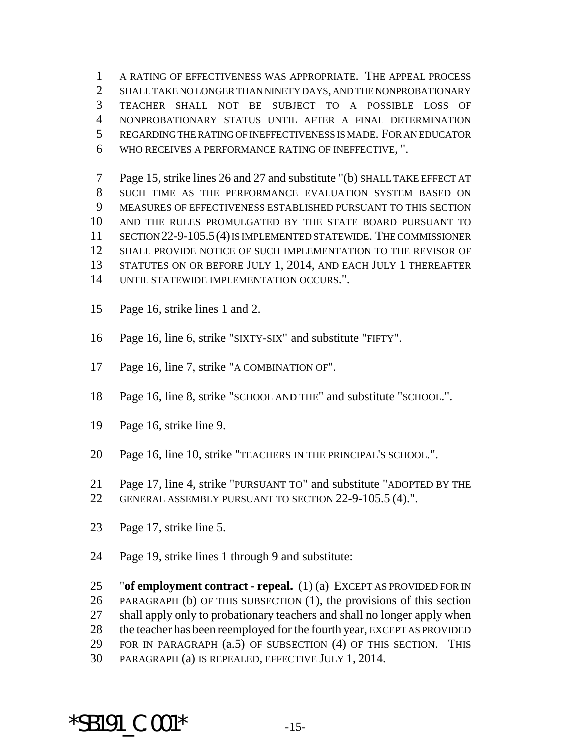A RATING OF EFFECTIVENESS WAS APPROPRIATE. THE APPEAL PROCESS SHALL TAKE NO LONGER THAN NINETY DAYS, AND THE NONPROBATIONARY TEACHER SHALL NOT BE SUBJECT TO A POSSIBLE LOSS OF NONPROBATIONARY STATUS UNTIL AFTER A FINAL DETERMINATION REGARDING THE RATING OF INEFFECTIVENESS IS MADE. FOR AN EDUCATOR WHO RECEIVES A PERFORMANCE RATING OF INEFFECTIVE, ".

 Page 15, strike lines 26 and 27 and substitute "(b) SHALL TAKE EFFECT AT SUCH TIME AS THE PERFORMANCE EVALUATION SYSTEM BASED ON MEASURES OF EFFECTIVENESS ESTABLISHED PURSUANT TO THIS SECTION AND THE RULES PROMULGATED BY THE STATE BOARD PURSUANT TO SECTION 22-9-105.5(4) IS IMPLEMENTED STATEWIDE. THE COMMISSIONER SHALL PROVIDE NOTICE OF SUCH IMPLEMENTATION TO THE REVISOR OF STATUTES ON OR BEFORE JULY 1, 2014, AND EACH JULY 1 THEREAFTER UNTIL STATEWIDE IMPLEMENTATION OCCURS.".

- Page 16, strike lines 1 and 2.
- Page 16, line 6, strike "SIXTY-SIX" and substitute "FIFTY".
- Page 16, line 7, strike "A COMBINATION OF".
- Page 16, line 8, strike "SCHOOL AND THE" and substitute "SCHOOL.".
- Page 16, strike line 9.
- Page 16, line 10, strike "TEACHERS IN THE PRINCIPAL'S SCHOOL.".
- Page 17, line 4, strike "PURSUANT TO" and substitute "ADOPTED BY THE
- GENERAL ASSEMBLY PURSUANT TO SECTION 22-9-105.5 (4).".
- Page 17, strike line 5.
- Page 19, strike lines 1 through 9 and substitute:

 "**of employment contract - repeal.** (1) (a) EXCEPT AS PROVIDED FOR IN PARAGRAPH (b) OF THIS SUBSECTION (1), the provisions of this section shall apply only to probationary teachers and shall no longer apply when the teacher has been reemployed for the fourth year, EXCEPT AS PROVIDED FOR IN PARAGRAPH (a.5) OF SUBSECTION (4) OF THIS SECTION. THIS PARAGRAPH (a) IS REPEALED, EFFECTIVE JULY 1, 2014.